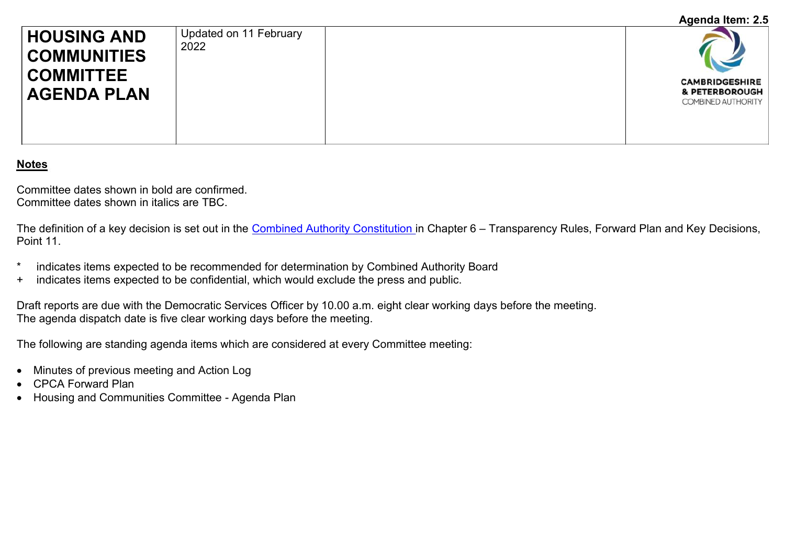## **Agenda Item: 2.5**

| <b>HOUSING AND</b><br><b>COMMUNITIES</b><br><b>COMMITTEE</b> | Updated on 11 February<br>2022 |                                                               |
|--------------------------------------------------------------|--------------------------------|---------------------------------------------------------------|
| <b>AGENDA PLAN</b>                                           |                                | <b>CAMBRIDGESHIRE</b><br>& PETERBOROUGH<br>COMBINED AUTHORITY |

## **Notes**

Committee dates shown in bold are confirmed. Committee dates shown in italics are TBC.

The definition of a key decision is set out in the [Combined Authority Constitution](http://cambridgeshirepeterborough-ca.gov.uk/assets/Uploads/CPCA-Constitution-.pdf) in Chapter 6 – Transparency Rules, Forward Plan and Key Decisions, Point 11.

- \* indicates items expected to be recommended for determination by Combined Authority Board
- + indicates items expected to be confidential, which would exclude the press and public.

Draft reports are due with the Democratic Services Officer by 10.00 a.m. eight clear working days before the meeting. The agenda dispatch date is five clear working days before the meeting.

The following are standing agenda items which are considered at every Committee meeting:

- Minutes of previous meeting and Action Log
- CPCA Forward Plan
- Housing and Communities Committee Agenda Plan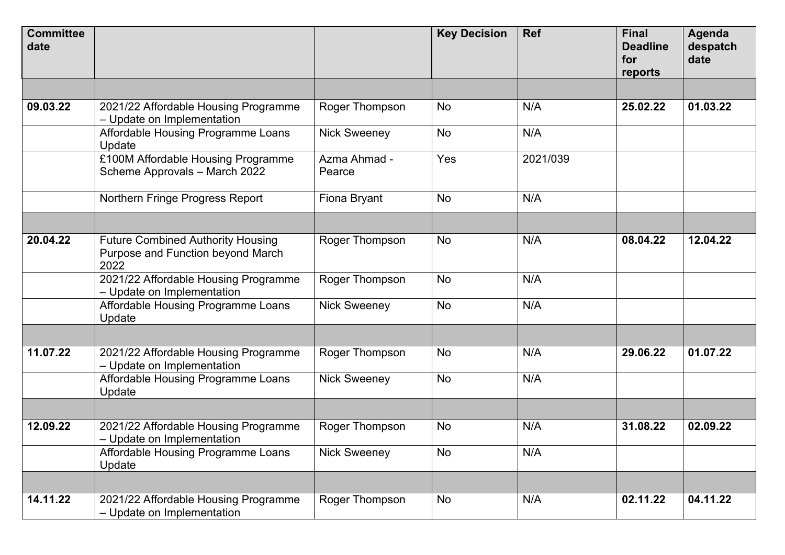| <b>Committee</b><br>date |                                                                                       |                        | <b>Key Decision</b> | <b>Ref</b> | <b>Final</b><br><b>Deadline</b><br>for<br>reports | <b>Agenda</b><br>despatch<br>date |
|--------------------------|---------------------------------------------------------------------------------------|------------------------|---------------------|------------|---------------------------------------------------|-----------------------------------|
|                          |                                                                                       |                        |                     |            |                                                   |                                   |
| 09.03.22                 | 2021/22 Affordable Housing Programme<br>- Update on Implementation                    | Roger Thompson         | <b>No</b>           | N/A        | 25.02.22                                          | 01.03.22                          |
|                          | Affordable Housing Programme Loans<br>Update                                          | <b>Nick Sweeney</b>    | <b>No</b>           | N/A        |                                                   |                                   |
|                          | £100M Affordable Housing Programme<br>Scheme Approvals - March 2022                   | Azma Ahmad -<br>Pearce | Yes                 | 2021/039   |                                                   |                                   |
|                          | Northern Fringe Progress Report                                                       | Fiona Bryant           | <b>No</b>           | N/A        |                                                   |                                   |
|                          |                                                                                       |                        |                     |            |                                                   |                                   |
| 20.04.22                 | <b>Future Combined Authority Housing</b><br>Purpose and Function beyond March<br>2022 | Roger Thompson         | <b>No</b>           | N/A        | 08.04.22                                          | 12.04.22                          |
|                          | 2021/22 Affordable Housing Programme<br>- Update on Implementation                    | Roger Thompson         | <b>No</b>           | N/A        |                                                   |                                   |
|                          | Affordable Housing Programme Loans<br>Update                                          | <b>Nick Sweeney</b>    | No                  | N/A        |                                                   |                                   |
|                          |                                                                                       |                        |                     |            |                                                   |                                   |
| 11.07.22                 | 2021/22 Affordable Housing Programme<br>- Update on Implementation                    | Roger Thompson         | <b>No</b>           | N/A        | 29.06.22                                          | 01.07.22                          |
|                          | Affordable Housing Programme Loans<br>Update                                          | <b>Nick Sweeney</b>    | <b>No</b>           | N/A        |                                                   |                                   |
|                          |                                                                                       |                        |                     |            |                                                   |                                   |
| 12.09.22                 | 2021/22 Affordable Housing Programme<br>- Update on Implementation                    | Roger Thompson         | No                  | N/A        | 31.08.22                                          | 02.09.22                          |
|                          | Affordable Housing Programme Loans<br>Update                                          | <b>Nick Sweeney</b>    | No                  | N/A        |                                                   |                                   |
|                          |                                                                                       |                        |                     |            |                                                   |                                   |
| 14.11.22                 | 2021/22 Affordable Housing Programme<br>- Update on Implementation                    | Roger Thompson         | No                  | N/A        | 02.11.22                                          | 04.11.22                          |